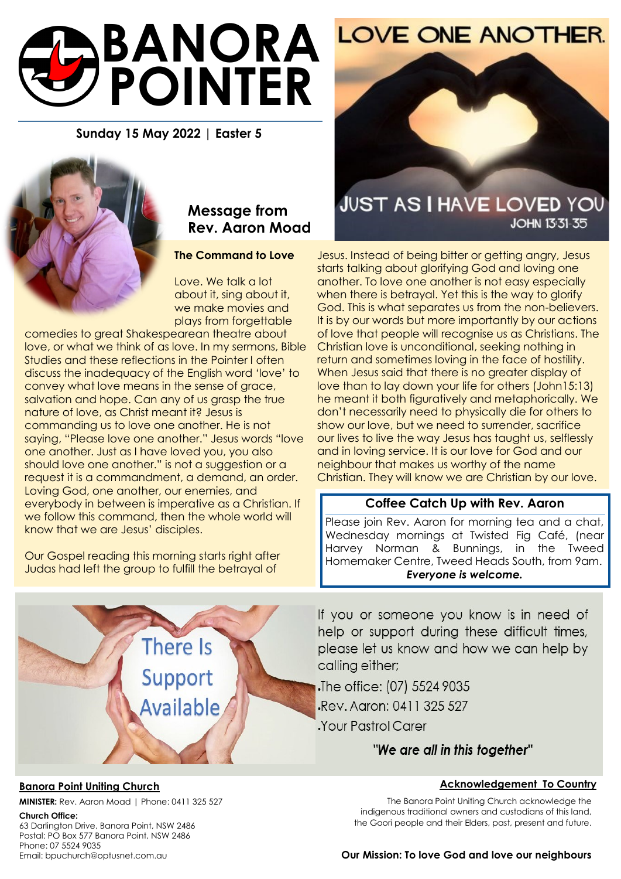# **BANORA POINTER**

#### **Sunday 15 May 2022 | Easter 5**



## **Message from Rev. Aaron Moad**

#### **The Command to Love**

Love. We talk a lot about it, sing about it, we make movies and plays from forgettable

comedies to great Shakespearean theatre about love, or what we think of as love. In my sermons, Bible Studies and these reflections in the Pointer I often discuss the inadequacy of the English word 'love' to convey what love means in the sense of grace, salvation and hope. Can any of us grasp the true nature of love, as Christ meant it? Jesus is commanding us to love one another. He is not saying, "Please love one another." Jesus words "love one another. Just as I have loved you, you also should love one another." is not a suggestion or a request it is a commandment, a demand, an order. Loving God, one another, our enemies, and everybody in between is imperative as a Christian. If we follow this command, then the whole world will know that we are Jesus' disciples.

Our Gospel reading this morning starts right after Judas had left the group to fulfill the betrayal of

# **JUST AS I HAVE LOVED YOU JOHN 13:31-35**

Jesus. Instead of being bitter or getting angry, Jesus starts talking about glorifying God and loving one another. To love one another is not easy especially when there is betrayal. Yet this is the way to glorify God. This is what separates us from the non-believers. It is by our words but more importantly by our actions of love that people will recognise us as Christians. The Christian love is unconditional, seeking nothing in return and sometimes loving in the face of hostility. When Jesus said that there is no greater display of love than to lay down your life for others (John15:13) he meant it both figuratively and metaphorically. We don't necessarily need to physically die for others to show our love, but we need to surrender, sacrifice our lives to live the way Jesus has taught us, selflessly and in loving service. It is our love for God and our neighbour that makes us worthy of the name Christian. They will know we are Christian by our love.

#### **Coffee Catch Up with Rev. Aaron**

Please join Rev. Aaron for morning tea and a chat, Wednesday mornings at Twisted Fig Café, (near Harvey Norman & Bunnings, in the Tweed Homemaker Centre, Tweed Heads South, from 9am. *Everyone is welcome.*

If you or someone you know is in need of help or support during these difficult times, please let us know and how we can help by calling either;

The office: (07) 5524 9035 Rev. Agron: 0411 325 527 Your Pastrol Carer

#### "We are all in this together"

#### **Acknowledgement To Country**

The Banora Point Uniting Church acknowledge the indigenous traditional owners and custodians of this land, the Goori people and their Elders, past, present and future.

### **MINISTER:** Rev. Aaron Moad | Phone: 0411 325 527

**Church Office:** 

63 Darlington Drive, Banora Point, NSW 2486 Postal: PO Box 577 Banora Point, NSW 2486 Phone: 07 5524 9035 Email: bpuchurch@optusnet.com.au

#### **Our Mission: To love God and love our neighbours**